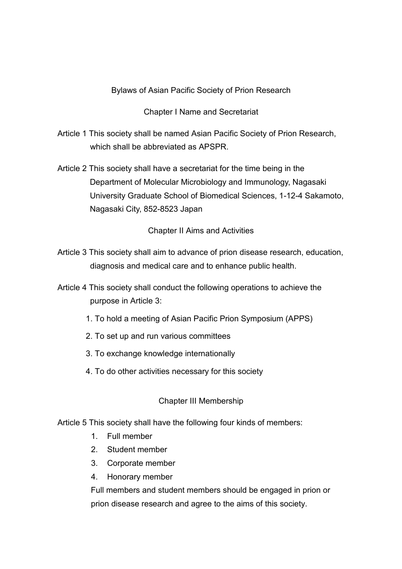## Bylaws of Asian Pacific Society of Prion Research

#### Chapter I Name and Secretariat

Article 1 This society shall be named Asian Pacific Society of Prion Research, which shall be abbreviated as APSPR.

Article 2 This society shall have a secretariat for the time being in the Department of Molecular Microbiology and Immunology, Nagasaki University Graduate School of Biomedical Sciences, 1-12-4 Sakamoto, Nagasaki City, 852-8523 Japan

Chapter II Aims and Activities

- Article 3 This society shall aim to advance of prion disease research, education, diagnosis and medical care and to enhance public health.
- Article 4 This society shall conduct the following operations to achieve the purpose in Article 3:
	- 1. To hold a meeting of Asian Pacific Prion Symposium (APPS)
	- 2. To set up and run various committees
	- 3. To exchange knowledge internationally
	- 4. To do other activities necessary for this society

#### Chapter III Membership

Article 5 This society shall have the following four kinds of members:

- 1. Full member
- 2. Student member
- 3. Corporate member
- 4. Honorary member

Full members and student members should be engaged in prion or prion disease research and agree to the aims of this society.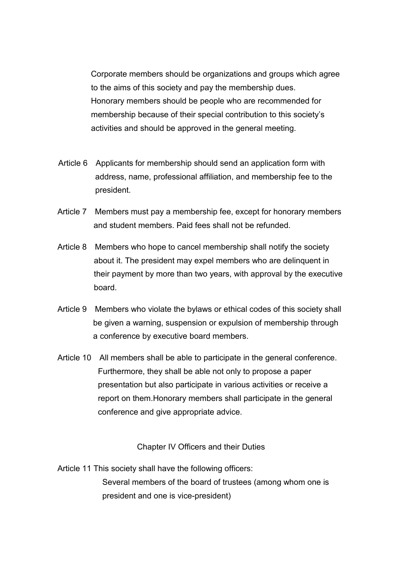Corporate members should be organizations and groups which agree to the aims of this society and pay the membership dues. Honorary members should be people who are recommended for membership because of their special contribution to this society's activities and should be approved in the general meeting.

- Article 6 Applicants for membership should send an application form with address, name, professional affiliation, and membership fee to the president.
- Article 7 Members must pay a membership fee, except for honorary members and student members. Paid fees shall not be refunded.
- Article 8 Members who hope to cancel membership shall notify the society about it. The president may expel members who are delinquent in their payment by more than two years, with approval by the executive board.
- Article 9 Members who violate the bylaws or ethical codes of this society shall be given a warning, suspension or expulsion of membership through a conference by executive board members.
- Article 10 All members shall be able to participate in the general conference. Furthermore, they shall be able not only to propose a paper presentation but also participate in various activities or receive a report on them.Honorary members shall participate in the general conference and give appropriate advice.

Chapter IV Officers and their Duties

Article 11 This society shall have the following officers: Several members of the board of trustees (among whom one is president and one is vice-president)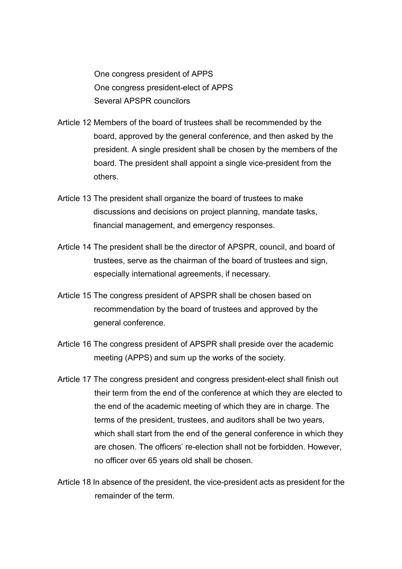One congress president of APPS One congress president-elect of APPS Several APSPR councilors

- Article 12 Members of the board of trustees shall be recommended by the board, approved by the general conference, and then asked by the president. A single president shall be chosen by the members of the board. The president shall appoint a single vice-president from the others.
- Article 13 The president shall organize the board of trustees to make discussions and decisions on project planning, mandate tasks, financial management, and emergency responses.
- Article 14 The president shall be the director of APSPR, council, and board of trustees, serve as the chairman of the board of trustees and sign, especially international agreements, if necessary.
- Article 15 The congress president of APSPR shall be chosen based on recommendation by the board of trustees and approved by the general conference.
- Article 16 The congress president of APSPR shall preside over the academic meeting (APPS) and sum up the works of the society.
- Article 17 The congress president and congress president-elect shall finish out their term from the end of the conference at which they are elected to the end of the academic meeting of which they are in charge. The terms of the president, trustees, and auditors shall be two years, which shall start from the end of the general conference in which they are chosen. The officers' re-election shall not be forbidden. However, no officer over 65 years old shall be chosen.
- Article 18 In absence of the president, the vice-president acts as president for the remainder of the term.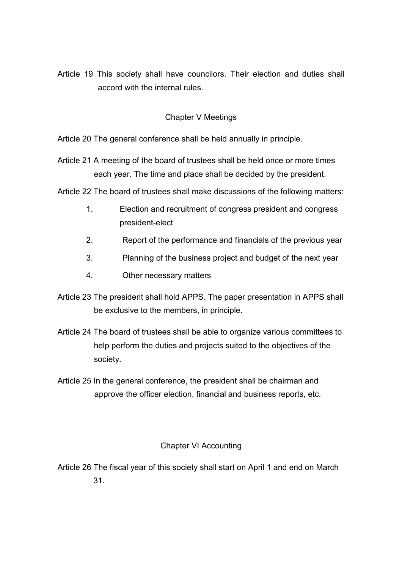Article 19 This society shall have councilors. Their election and duties shall accord with the internal rules.

# Chapter V Meetings

Article 20 The general conference shall be held annually in principle.

Article 21 A meeting of the board of trustees shall be held once or more times each year. The time and place shall be decided by the president.

Article 22 The board of trustees shall make discussions of the following matters:

- 1. Election and recruitment of congress president and congress president-elect
- 2. Report of the performance and financials of the previous year
- 3. Planning of the business project and budget of the next year
- 4. Other necessary matters
- Article 23 The president shall hold APPS. The paper presentation in APPS shall be exclusive to the members, in principle.
- Article 24 The board of trustees shall be able to organize various committees to help perform the duties and projects suited to the objectives of the society.
- Article 25 In the general conference, the president shall be chairman and approve the officer election, financial and business reports, etc.

## Chapter VI Accounting

Article 26 The fiscal year of this society shall start on April 1 and end on March 31.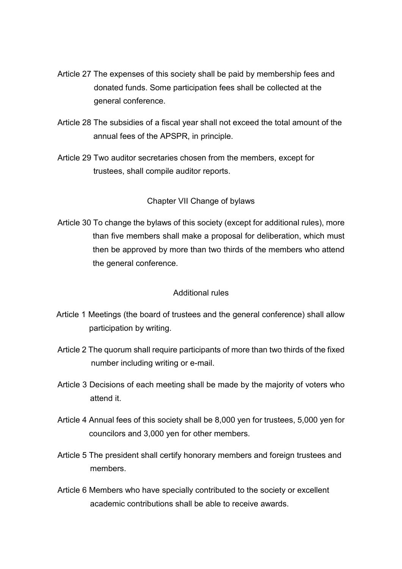- Article 27 The expenses of this society shall be paid by membership fees and donated funds. Some participation fees shall be collected at the general conference.
- Article 28 The subsidies of a fiscal year shall not exceed the total amount of the annual fees of the APSPR, in principle.
- Article 29 Two auditor secretaries chosen from the members, except for trustees, shall compile auditor reports.

### Chapter VII Change of bylaws

Article 30 To change the bylaws of this society (except for additional rules), more than five members shall make a proposal for deliberation, which must then be approved by more than two thirds of the members who attend the general conference.

#### Additional rules

- Article 1 Meetings (the board of trustees and the general conference) shall allow participation by writing.
- Article 2 The quorum shall require participants of more than two thirds of the fixed number including writing or e-mail.
- Article 3 Decisions of each meeting shall be made by the majority of voters who attend it.
- Article 4 Annual fees of this society shall be 8,000 yen for trustees, 5,000 yen for councilors and 3,000 yen for other members.
- Article 5 The president shall certify honorary members and foreign trustees and members.
- Article 6 Members who have specially contributed to the society or excellent academic contributions shall be able to receive awards.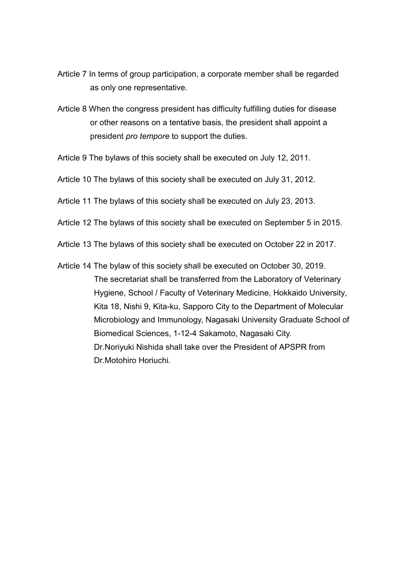- Article 7 In terms of group participation, a corporate member shall be regarded as only one representative.
- Article 8 When the congress president has difficulty fulfilling duties for disease or other reasons on a tentative basis, the president shall appoint a president *pro tempore* to support the duties.
- Article 9 The bylaws of this society shall be executed on July 12, 2011.

Article 10 The bylaws of this society shall be executed on July 31, 2012.

Article 11 The bylaws of this society shall be executed on July 23, 2013.

- Article 12 The bylaws of this society shall be executed on September 5 in 2015.
- Article 13 The bylaws of this society shall be executed on October 22 in 2017.
- Article 14 The bylaw of this society shall be executed on October 30, 2019. The secretariat shall be transferred from the Laboratory of Veterinary Hygiene, School / Faculty of Veterinary Medicine, Hokkaido University, Kita 18, Nishi 9, Kita-ku, Sapporo City to the Department of Molecular Microbiology and Immunology, Nagasaki University Graduate School of Biomedical Sciences, 1-12-4 Sakamoto, Nagasaki City. Dr.Noriyuki Nishida shall take over the President of APSPR from Dr.Motohiro Horiuchi.